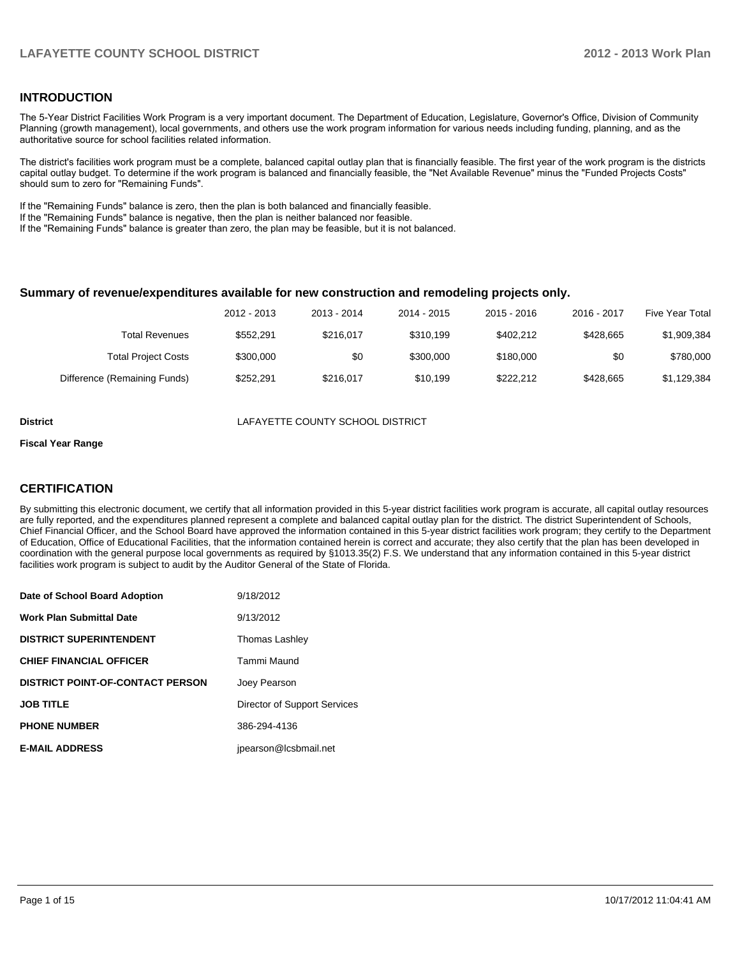#### **INTRODUCTION**

The 5-Year District Facilities Work Program is a very important document. The Department of Education, Legislature, Governor's Office, Division of Community Planning (growth management), local governments, and others use the work program information for various needs including funding, planning, and as the authoritative source for school facilities related information.

The district's facilities work program must be a complete, balanced capital outlay plan that is financially feasible. The first year of the work program is the districts capital outlay budget. To determine if the work program is balanced and financially feasible, the "Net Available Revenue" minus the "Funded Projects Costs" should sum to zero for "Remaining Funds".

If the "Remaining Funds" balance is zero, then the plan is both balanced and financially feasible.

If the "Remaining Funds" balance is negative, then the plan is neither balanced nor feasible.

If the "Remaining Funds" balance is greater than zero, the plan may be feasible, but it is not balanced.

#### **Summary of revenue/expenditures available for new construction and remodeling projects only.**

| <b>Five Year Total</b> | 2016 - 2017 | $2015 - 2016$ | 2014 - 2015 | 2013 - 2014 | 2012 - 2013 |                              |
|------------------------|-------------|---------------|-------------|-------------|-------------|------------------------------|
| \$1,909,384            | \$428,665   | \$402.212     | \$310.199   | \$216.017   | \$552.291   | <b>Total Revenues</b>        |
| \$780,000              | \$0         | \$180,000     | \$300,000   | \$0         | \$300,000   | <b>Total Project Costs</b>   |
| \$1,129,384            | \$428,665   | \$222.212     | \$10.199    | \$216,017   | \$252.291   | Difference (Remaining Funds) |

**District** LAFAYETTE COUNTY SCHOOL DISTRICT

#### **Fiscal Year Range**

#### **CERTIFICATION**

By submitting this electronic document, we certify that all information provided in this 5-year district facilities work program is accurate, all capital outlay resources are fully reported, and the expenditures planned represent a complete and balanced capital outlay plan for the district. The district Superintendent of Schools, Chief Financial Officer, and the School Board have approved the information contained in this 5-year district facilities work program; they certify to the Department of Education, Office of Educational Facilities, that the information contained herein is correct and accurate; they also certify that the plan has been developed in coordination with the general purpose local governments as required by §1013.35(2) F.S. We understand that any information contained in this 5-year district facilities work program is subject to audit by the Auditor General of the State of Florida.

| Date of School Board Adoption           | 9/18/2012                    |
|-----------------------------------------|------------------------------|
| <b>Work Plan Submittal Date</b>         | 9/13/2012                    |
| <b>DISTRICT SUPERINTENDENT</b>          | <b>Thomas Lashley</b>        |
| <b>CHIEF FINANCIAL OFFICER</b>          | Tammi Maund                  |
| <b>DISTRICT POINT-OF-CONTACT PERSON</b> | Joey Pearson                 |
| <b>JOB TITLE</b>                        | Director of Support Services |
| <b>PHONE NUMBER</b>                     | 386-294-4136                 |
| <b>E-MAIL ADDRESS</b>                   | jpearson@lcsbmail.net        |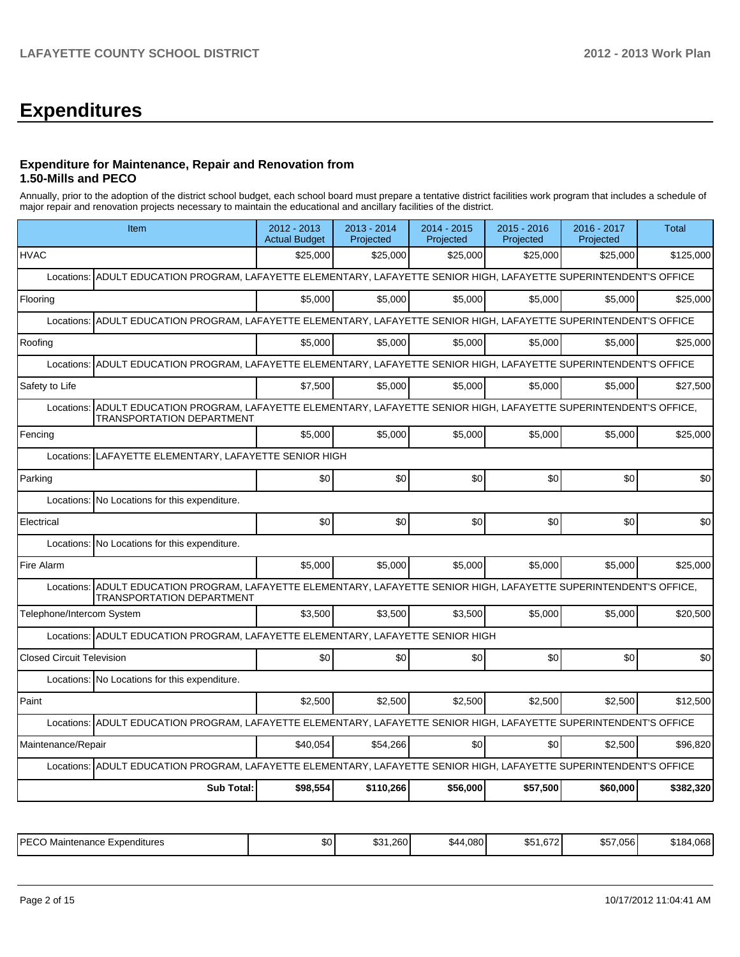# **Expenditures**

#### **Expenditure for Maintenance, Repair and Renovation from 1.50-Mills and PECO**

Annually, prior to the adoption of the district school budget, each school board must prepare a tentative district facilities work program that includes a schedule of major repair and renovation projects necessary to maintain the educational and ancillary facilities of the district.

|                                  | Item                                                                                                                                                    | 2012 - 2013<br><b>Actual Budget</b> | 2013 - 2014<br>Projected | 2014 - 2015<br>Projected | $2015 - 2016$<br>Projected | 2016 - 2017<br>Projected | Total     |
|----------------------------------|---------------------------------------------------------------------------------------------------------------------------------------------------------|-------------------------------------|--------------------------|--------------------------|----------------------------|--------------------------|-----------|
| <b>HVAC</b>                      |                                                                                                                                                         | \$25,000                            | \$25,000                 | \$25,000                 | \$25,000                   | \$25,000                 | \$125,000 |
| Locations:                       | ADULT EDUCATION PROGRAM, LAFAYETTE ELEMENTARY, LAFAYETTE SENIOR HIGH, LAFAYETTE SUPERINTENDENT'S OFFICE                                                 |                                     |                          |                          |                            |                          |           |
| Flooring                         |                                                                                                                                                         | \$5,000                             | \$5,000                  | \$5,000                  | \$5,000                    | \$5,000                  | \$25,000  |
| Locations:                       | ADULT EDUCATION PROGRAM, LAFAYETTE ELEMENTARY, LAFAYETTE SENIOR HIGH, LAFAYETTE SUPERINTENDENT'S OFFICE                                                 |                                     |                          |                          |                            |                          |           |
| Roofing                          |                                                                                                                                                         | \$5.000                             | \$5.000                  | \$5.000                  | \$5.000                    | \$5,000                  | \$25.000  |
| Locations:                       | ADULT EDUCATION PROGRAM, LAFAYETTE ELEMENTARY, LAFAYETTE SENIOR HIGH, LAFAYETTE SUPERINTENDENT'S OFFICE                                                 |                                     |                          |                          |                            |                          |           |
| Safety to Life                   |                                                                                                                                                         | \$7,500                             | \$5,000                  | \$5,000                  | \$5,000                    | \$5,000                  | \$27,500  |
| Locations:                       | ADULT EDUCATION PROGRAM, LAFAYETTE ELEMENTARY, LAFAYETTE SENIOR HIGH, LAFAYETTE SUPERINTENDENT'S OFFICE,<br><b>TRANSPORTATION DEPARTMENT</b>            |                                     |                          |                          |                            |                          |           |
| Fencing                          |                                                                                                                                                         | \$5,000                             | \$5,000                  | \$5,000                  | \$5,000                    | \$5,000                  | \$25,000  |
| Locations:                       | LAFAYETTE ELEMENTARY, LAFAYETTE SENIOR HIGH                                                                                                             |                                     |                          |                          |                            |                          |           |
| Parking                          |                                                                                                                                                         | \$0                                 | \$0                      | \$0                      | \$0                        | \$0                      | \$0       |
|                                  | Locations: No Locations for this expenditure.                                                                                                           |                                     |                          |                          |                            |                          |           |
| Electrical                       |                                                                                                                                                         | \$0                                 | \$0                      | \$0                      | \$0                        | \$0                      | \$0       |
| Locations:                       | No Locations for this expenditure.                                                                                                                      |                                     |                          |                          |                            |                          |           |
| Fire Alarm                       |                                                                                                                                                         | \$5.000                             | \$5,000                  | \$5.000                  | \$5,000                    | \$5,000                  | \$25,000  |
|                                  | Locations: ADULT EDUCATION PROGRAM, LAFAYETTE ELEMENTARY, LAFAYETTE SENIOR HIGH, LAFAYETTE SUPERINTENDENT'S OFFICE,<br><b>TRANSPORTATION DEPARTMENT</b> |                                     |                          |                          |                            |                          |           |
| Telephone/Intercom System        |                                                                                                                                                         | \$3,500                             | \$3,500                  | \$3,500                  | \$5,000                    | \$5,000                  | \$20,500  |
|                                  | Locations: ADULT EDUCATION PROGRAM, LAFAYETTE ELEMENTARY, LAFAYETTE SENIOR HIGH                                                                         |                                     |                          |                          |                            |                          |           |
| <b>Closed Circuit Television</b> |                                                                                                                                                         | \$0                                 | \$0                      | \$0                      | \$0                        | \$0                      | \$0       |
|                                  | Locations: No Locations for this expenditure.                                                                                                           |                                     |                          |                          |                            |                          |           |
| Paint                            |                                                                                                                                                         | \$2,500                             | \$2,500                  | \$2,500                  | \$2,500                    | \$2,500                  | \$12,500  |
|                                  | Locations: ADULT EDUCATION PROGRAM, LAFAYETTE ELEMENTARY, LAFAYETTE SENIOR HIGH, LAFAYETTE SUPERINTENDENT'S OFFICE                                      |                                     |                          |                          |                            |                          |           |
| Maintenance/Repair               |                                                                                                                                                         | \$40,054                            | \$54,266                 | \$0                      | \$0                        | \$2,500                  | \$96,820  |
|                                  | Locations: ADULT EDUCATION PROGRAM, LAFAYETTE ELEMENTARY, LAFAYETTE SENIOR HIGH, LAFAYETTE SUPERINTENDENT'S OFFICE                                      |                                     |                          |                          |                            |                          |           |
|                                  | <b>Sub Total:</b>                                                                                                                                       | \$98,554                            | \$110,266                | \$56,000                 | \$57,500                   | \$60,000                 | \$382,320 |

| <b>DECO</b><br>Maintenance<br>Expenditures<br>LUU | n.<br>νυ | ا 260.،<br>ו ש | 4,080<br>. .<br>544. | $\sim$<br>$\mathbf{A} =$<br>\$51.672 | 7,056<br>∼−∼<br><u>ти.</u><br>0.11 | 1.068<br>1 84 |
|---------------------------------------------------|----------|----------------|----------------------|--------------------------------------|------------------------------------|---------------|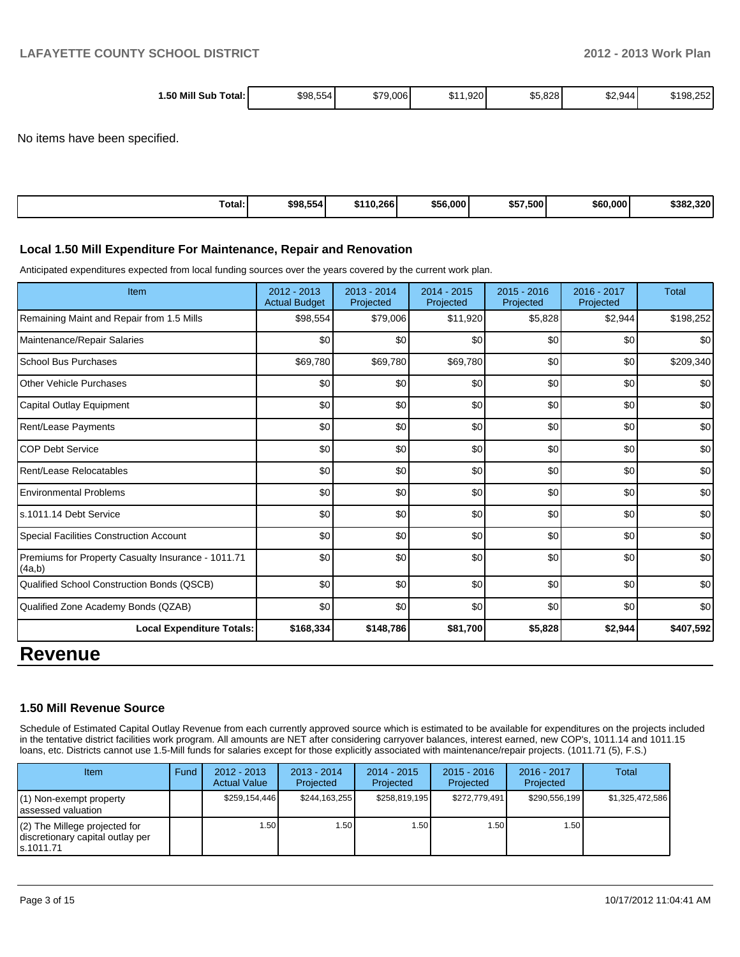| 1.50 Mill Sub<br>\$98.554<br>9.006<br>ሶማድ<br>ا :Total | .920<br><b>TA</b><br>ו ה. | \$5.828<br>\$2,944<br>¢ε | \$198,25∠ |
|-------------------------------------------------------|---------------------------|--------------------------|-----------|
|-------------------------------------------------------|---------------------------|--------------------------|-----------|

No items have been specified.

| $\overline{\phantom{0}}$<br>Total: | \$98,554 | \$110.266 | \$56,000 | \$57,500 | \$60,000 | \$382.320 |
|------------------------------------|----------|-----------|----------|----------|----------|-----------|
|                                    |          |           |          |          |          |           |

#### **Local 1.50 Mill Expenditure For Maintenance, Repair and Renovation**

Anticipated expenditures expected from local funding sources over the years covered by the current work plan.

| Item                                                         | 2012 - 2013<br><b>Actual Budget</b> | $2013 - 2014$<br>Projected | $2014 - 2015$<br>Projected | 2015 - 2016<br>Projected | 2016 - 2017<br>Projected | <b>Total</b> |
|--------------------------------------------------------------|-------------------------------------|----------------------------|----------------------------|--------------------------|--------------------------|--------------|
| Remaining Maint and Repair from 1.5 Mills                    | \$98,554                            | \$79,006                   | \$11,920                   | \$5,828                  | \$2,944                  | \$198,252    |
| Maintenance/Repair Salaries                                  | \$0                                 | \$0                        | \$0                        | \$0                      | \$0                      | \$0          |
| School Bus Purchases                                         | \$69,780                            | \$69,780                   | \$69,780                   | \$0                      | \$0                      | \$209,340    |
| Other Vehicle Purchases                                      | \$0                                 | \$0                        | \$0                        | \$0                      | \$0                      | \$0          |
| Capital Outlay Equipment                                     | \$0                                 | \$0                        | \$0                        | \$0                      | \$0                      | \$0          |
| Rent/Lease Payments                                          | \$0                                 | \$0                        | \$0                        | \$0                      | \$0                      | \$0          |
| <b>COP Debt Service</b>                                      | \$0                                 | \$0                        | \$0                        | \$0                      | \$0                      | \$0          |
| Rent/Lease Relocatables                                      | \$0                                 | \$0                        | \$0                        | \$0                      | \$0                      | \$0          |
| <b>Environmental Problems</b>                                | \$0                                 | \$0                        | \$0                        | \$0                      | \$0                      | \$0          |
| ls.1011.14 Debt Service                                      | \$0                                 | \$0                        | \$0                        | \$0                      | \$0                      | \$0          |
| Special Facilities Construction Account                      | \$0                                 | \$0                        | \$0                        | \$0                      | \$0                      | \$0          |
| Premiums for Property Casualty Insurance - 1011.71<br>(4a,b) | \$0                                 | \$0                        | \$0                        | \$0                      | \$0                      | \$0          |
| <b>Qualified School Construction Bonds (QSCB)</b>            | \$0                                 | \$0                        | \$0                        | \$0                      | \$0                      | \$0          |
| Qualified Zone Academy Bonds (QZAB)                          | \$0                                 | \$0                        | \$0                        | \$0                      | \$0                      | \$0          |
| <b>Local Expenditure Totals:</b>                             | \$168,334                           | \$148,786                  | \$81,700                   | \$5,828                  | \$2,944                  | \$407,592    |
| Ravanua                                                      |                                     |                            |                            |                          |                          |              |

## **Revenue**

#### **1.50 Mill Revenue Source**

Schedule of Estimated Capital Outlay Revenue from each currently approved source which is estimated to be available for expenditures on the projects included in the tentative district facilities work program. All amounts are NET after considering carryover balances, interest earned, new COP's, 1011.14 and 1011.15 loans, etc. Districts cannot use 1.5-Mill funds for salaries except for those explicitly associated with maintenance/repair projects. (1011.71 (5), F.S.)

| <b>Item</b>                                                                       | Fund | $2012 - 2013$<br><b>Actual Value</b> | $2013 - 2014$<br>Projected | $2014 - 2015$<br>Projected | $2015 - 2016$<br>Projected | $2016 - 2017$<br>Projected | Total           |
|-----------------------------------------------------------------------------------|------|--------------------------------------|----------------------------|----------------------------|----------------------------|----------------------------|-----------------|
| $(1)$ Non-exempt property<br>lassessed valuation                                  |      | \$259.154.446                        | \$244.163.255              | \$258,819,195              | \$272.779.491              | \$290.556.199              | \$1,325,472,586 |
| $(2)$ The Millege projected for<br>discretionary capital outlay per<br>ls.1011.71 |      | 1.50                                 | l.50 l                     | .50 <sub>1</sub>           | .50 <sub>1</sub>           | 1.50 l                     |                 |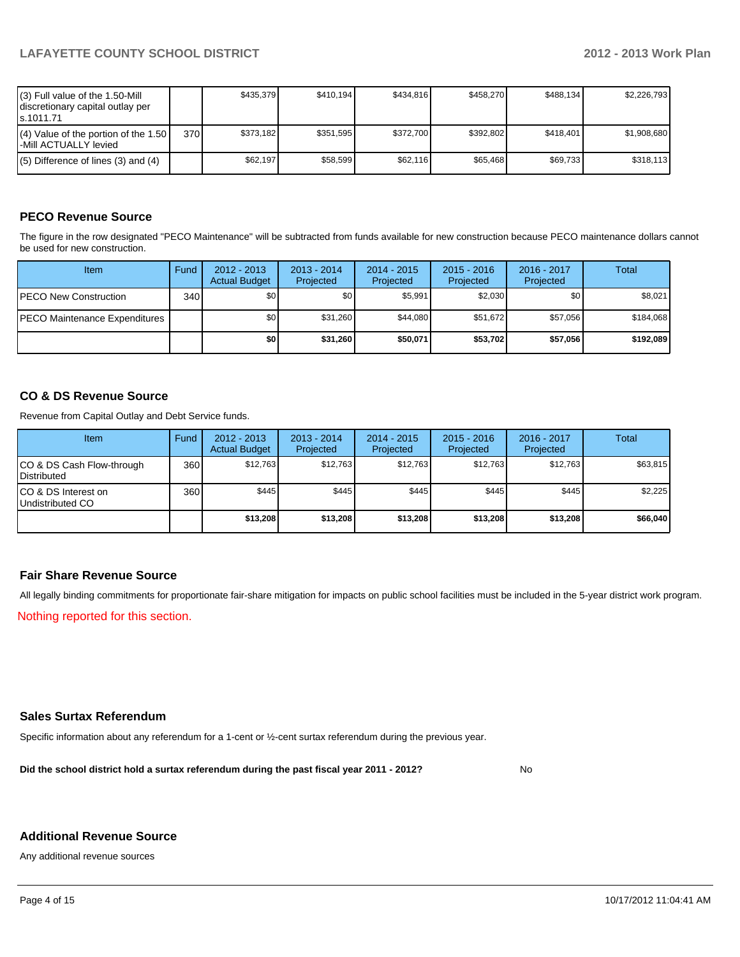| (3) Full value of the 1.50-Mill<br>I discretionary capital outlay per<br>ls.1011.71 |       | \$435.379 | \$410,194] | \$434.816 | \$458.270 | \$488.134 | \$2,226,793 |
|-------------------------------------------------------------------------------------|-------|-----------|------------|-----------|-----------|-----------|-------------|
| $(4)$ Value of the portion of the 1.50<br>-Mill ACTUALLY levied                     | 370 l | \$373.182 | \$351.595  | \$372.700 | \$392.802 | \$418,401 | \$1.908.680 |
| $(5)$ Difference of lines (3) and (4)                                               |       | \$62.197  | \$58,599   | \$62.116  | \$65.468  | \$69.733  | \$318,113   |

### **PECO Revenue Source**

The figure in the row designated "PECO Maintenance" will be subtracted from funds available for new construction because PECO maintenance dollars cannot be used for new construction.

| Item                                  | Fund             | $2012 - 2013$<br><b>Actual Budget</b> | $2013 - 2014$<br>Projected | $2014 - 2015$<br>Projected | $2015 - 2016$<br>Projected | 2016 - 2017<br>Projected | Total     |
|---------------------------------------|------------------|---------------------------------------|----------------------------|----------------------------|----------------------------|--------------------------|-----------|
| <b>IPECO New Construction</b>         | 340 <sup>l</sup> | \$0                                   | \$0                        | \$5.991                    | \$2.030                    | \$0                      | \$8,021   |
| <b>IPECO Maintenance Expenditures</b> |                  | \$0 <sub>1</sub>                      | \$31,260                   | \$44.080                   | \$51.672                   | \$57.056                 | \$184.068 |
|                                       |                  | \$0                                   | \$31,260                   | \$50,071                   | \$53,702                   | \$57,056                 | \$192,089 |

#### **CO & DS Revenue Source**

Revenue from Capital Outlay and Debt Service funds.

| <b>Item</b>                                        | Fund | $2012 - 2013$<br><b>Actual Budget</b> | $2013 - 2014$<br>Projected | $2014 - 2015$<br>Projected | $2015 - 2016$<br>Projected | $2016 - 2017$<br>Projected | Total    |
|----------------------------------------------------|------|---------------------------------------|----------------------------|----------------------------|----------------------------|----------------------------|----------|
| ICO & DS Cash Flow-through<br><b>I</b> Distributed | 360  | \$12.763                              | \$12.763                   | \$12.763                   | \$12.763                   | \$12,763                   | \$63,815 |
| ICO & DS Interest on<br>Undistributed CO           | 360  | \$445                                 | \$445                      | \$445                      | \$445                      | \$445                      | \$2,225  |
|                                                    |      | \$13,208                              | \$13,208                   | \$13,208                   | \$13,208                   | \$13,208                   | \$66,040 |

#### **Fair Share Revenue Source**

All legally binding commitments for proportionate fair-share mitigation for impacts on public school facilities must be included in the 5-year district work program.

Nothing reported for this section.

#### **Sales Surtax Referendum**

Specific information about any referendum for a 1-cent or ½-cent surtax referendum during the previous year.

**Did the school district hold a surtax referendum during the past fiscal year 2011 - 2012?**

No

#### **Additional Revenue Source**

Any additional revenue sources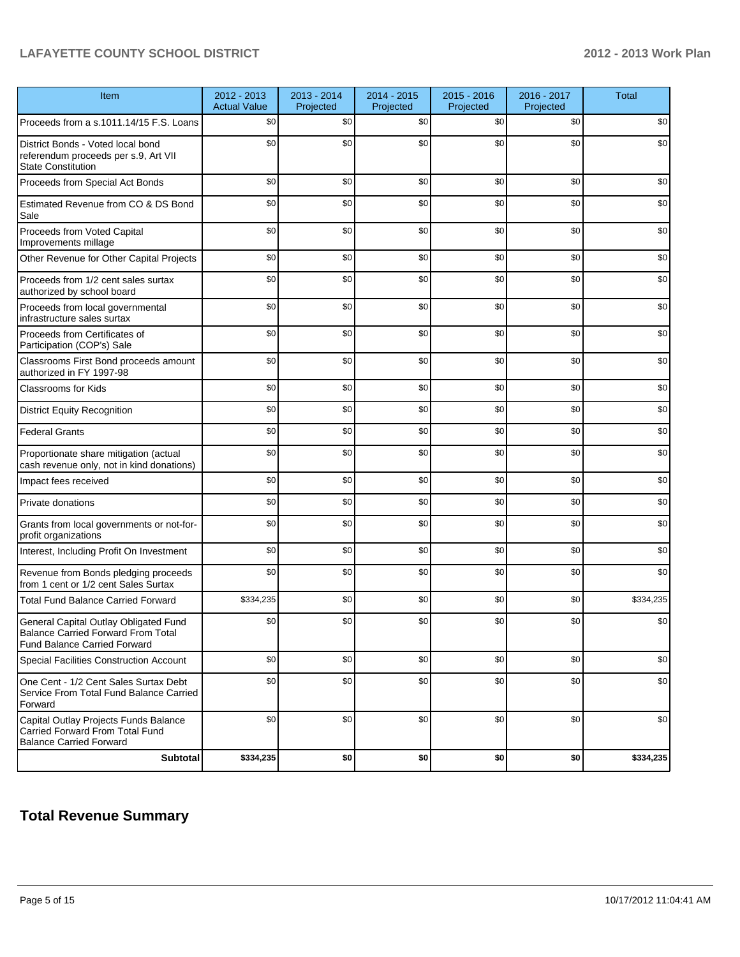### **LAFAYETTE COUNTY SCHOOL DISTRICT 2012 - 2013 Work Plan**

| Item                                                                                                               | 2012 - 2013<br><b>Actual Value</b> | 2013 - 2014<br>Projected | 2014 - 2015<br>Projected | 2015 - 2016<br>Projected | 2016 - 2017<br>Projected | <b>Total</b> |
|--------------------------------------------------------------------------------------------------------------------|------------------------------------|--------------------------|--------------------------|--------------------------|--------------------------|--------------|
| Proceeds from a s.1011.14/15 F.S. Loans                                                                            | \$0                                | \$0                      | \$0                      | \$0                      | \$0                      | \$0          |
| District Bonds - Voted local bond<br>referendum proceeds per s.9, Art VII<br><b>State Constitution</b>             | \$0                                | \$0                      | \$0                      | \$0                      | \$0                      | \$0          |
| Proceeds from Special Act Bonds                                                                                    | \$0                                | \$0                      | \$0                      | \$0                      | \$0                      | \$0          |
| Estimated Revenue from CO & DS Bond<br>Sale                                                                        | \$0                                | \$0                      | \$0                      | \$0                      | \$0                      | \$0          |
| Proceeds from Voted Capital<br>Improvements millage                                                                | \$0                                | \$0                      | \$0                      | \$0                      | \$0                      | \$0          |
| Other Revenue for Other Capital Projects                                                                           | \$0                                | \$0                      | \$0                      | \$0                      | \$0                      | \$0          |
| Proceeds from 1/2 cent sales surtax<br>authorized by school board                                                  | \$0                                | \$0                      | \$0                      | \$0                      | \$0                      | \$0          |
| Proceeds from local governmental<br>infrastructure sales surtax                                                    | \$0                                | \$0                      | \$0                      | \$0                      | \$0                      | \$0          |
| Proceeds from Certificates of<br>Participation (COP's) Sale                                                        | \$0                                | \$0                      | \$0                      | \$0                      | \$0                      | \$0          |
| Classrooms First Bond proceeds amount<br>authorized in FY 1997-98                                                  | \$0                                | \$0                      | \$0                      | \$0                      | \$0                      | \$0          |
| <b>Classrooms for Kids</b>                                                                                         | \$0                                | \$0                      | \$0                      | \$0                      | \$0                      | \$0          |
| <b>District Equity Recognition</b>                                                                                 | \$0                                | \$0                      | \$0                      | \$0                      | \$0                      | \$0          |
| <b>Federal Grants</b>                                                                                              | \$0                                | \$0                      | \$0                      | \$0                      | \$0                      | \$0          |
| Proportionate share mitigation (actual<br>cash revenue only, not in kind donations)                                | \$0                                | \$0                      | \$0                      | \$0                      | \$0                      | \$0          |
| Impact fees received                                                                                               | \$0                                | \$0                      | \$0                      | \$0                      | \$0                      | \$0          |
| Private donations                                                                                                  | \$0                                | \$0                      | \$0                      | \$0                      | \$0                      | \$0          |
| Grants from local governments or not-for-<br>profit organizations                                                  | \$0                                | \$0                      | \$0                      | \$0                      | \$0                      | \$0          |
| Interest, Including Profit On Investment                                                                           | \$0                                | \$0                      | \$0                      | \$0                      | \$0                      | \$0          |
| Revenue from Bonds pledging proceeds<br>from 1 cent or 1/2 cent Sales Surtax                                       | \$0                                | \$0                      | \$0                      | \$0                      | \$0                      | \$0          |
| <b>Total Fund Balance Carried Forward</b>                                                                          | \$334,235                          | \$0                      | \$0                      | \$0                      | \$0                      | \$334,235    |
| General Capital Outlay Obligated Fund<br>Balance Carried Forward From Total<br><b>Fund Balance Carried Forward</b> | \$0                                | \$0                      | \$0                      | \$0                      | \$0                      | \$0          |
| Special Facilities Construction Account                                                                            | \$0                                | \$0                      | \$0                      | \$0                      | \$0                      | \$0          |
| One Cent - 1/2 Cent Sales Surtax Debt<br>Service From Total Fund Balance Carried<br>Forward                        | \$0                                | \$0                      | \$0                      | \$0                      | \$0                      | \$0          |
| Capital Outlay Projects Funds Balance<br>Carried Forward From Total Fund<br><b>Balance Carried Forward</b>         | \$0                                | \$0                      | \$0                      | \$0                      | \$0                      | \$0          |
| <b>Subtotal</b>                                                                                                    | \$334,235                          | \$0                      | \$0                      | \$0                      | \$0                      | \$334,235    |

### **Total Revenue Summary**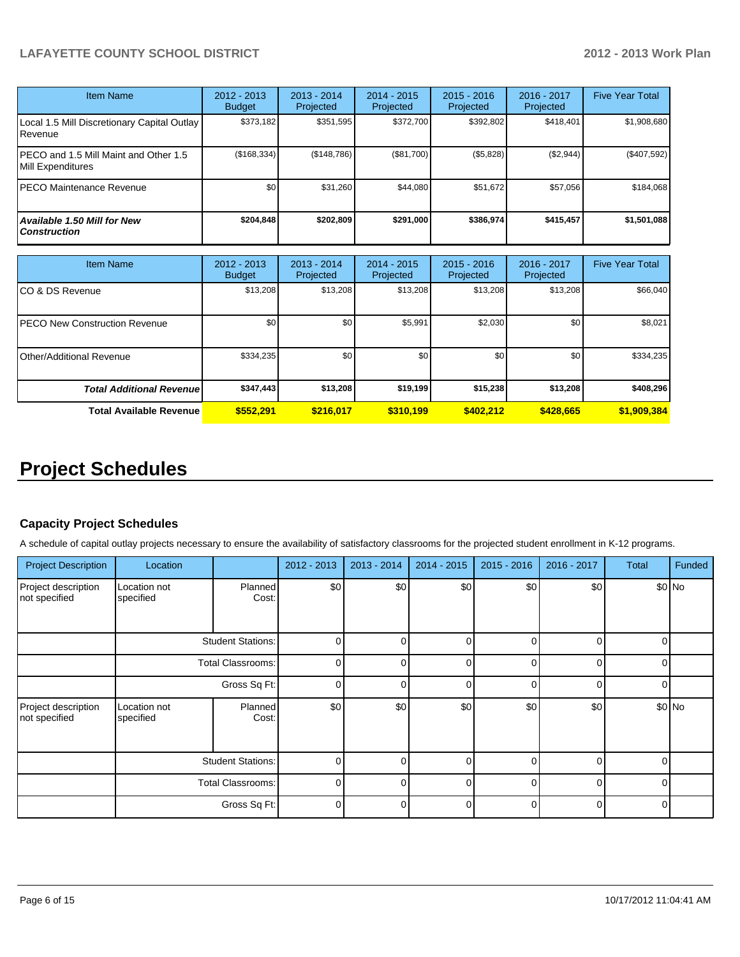### **LAFAYETTE COUNTY SCHOOL DISTRICT 2012 - 2013 Work Plan**

| <b>Item Name</b>                                           | 2012 - 2013<br><b>Budget</b> | $2013 - 2014$<br>Projected | $2014 - 2015$<br>Projected | $2015 - 2016$<br>Projected | 2016 - 2017<br>Projected | <b>Five Year Total</b> |
|------------------------------------------------------------|------------------------------|----------------------------|----------------------------|----------------------------|--------------------------|------------------------|
| Local 1.5 Mill Discretionary Capital Outlay<br>Revenue     | \$373,182                    | \$351,595                  | \$372,700                  | \$392,802                  | \$418,401                | \$1,908,680            |
| PECO and 1.5 Mill Maint and Other 1.5<br>Mill Expenditures | (\$168,334)                  | (\$148,786)                | (\$81,700)                 | (\$5,828)                  | (\$2,944)                | (\$407,592)            |
| IPECO Maintenance Revenue                                  | \$0                          | \$31,260                   | \$44.080                   | \$51,672                   | \$57,056                 | \$184,068              |
| Available 1.50 Mill for New<br><b>Construction</b>         | \$204,848                    | \$202,809                  | \$291.000                  | \$386,974                  | \$415,457                | \$1,501,088            |

| Item Name                            | 2012 - 2013<br><b>Budget</b> | 2013 - 2014<br>Projected | $2014 - 2015$<br>Projected | $2015 - 2016$<br>Projected | $2016 - 2017$<br>Projected | <b>Five Year Total</b> |
|--------------------------------------|------------------------------|--------------------------|----------------------------|----------------------------|----------------------------|------------------------|
| CO & DS Revenue                      | \$13,208                     | \$13,208                 | \$13,208                   | \$13,208                   | \$13,208                   | \$66,040               |
| <b>PECO New Construction Revenue</b> | \$0                          | \$0                      | \$5,991                    | \$2,030                    | \$0 <sub>1</sub>           | \$8,021                |
| <b>Other/Additional Revenue</b>      | \$334,235                    | \$0 <sub>1</sub>         | \$0                        | \$0                        | \$0                        | \$334,235              |
| <b>Total Additional Revenuel</b>     | \$347,443                    | \$13,208                 | \$19,199                   | \$15,238                   | \$13,208                   | \$408,296              |
| <b>Total Available Revenue</b>       | \$552.291                    | \$216,017                | \$310.199                  | \$402.212                  | \$428,665                  | \$1,909,384            |

# **Project Schedules**

#### **Capacity Project Schedules**

A schedule of capital outlay projects necessary to ensure the availability of satisfactory classrooms for the projected student enrollment in K-12 programs.

| <b>Project Description</b>           | Location                  |                          | 2012 - 2013 | 2013 - 2014 | 2014 - 2015 | $2015 - 2016$ | 2016 - 2017 | <b>Total</b> | Funded |
|--------------------------------------|---------------------------|--------------------------|-------------|-------------|-------------|---------------|-------------|--------------|--------|
| Project description<br>not specified | Location not<br>specified | <b>Planned</b><br>Cost:  | \$0         | \$0         | \$0         | \$0           | \$0         | $$0$ No      |        |
|                                      | <b>Student Stations:</b>  |                          | 0           |             | $\Omega$    | U             | ſ           |              |        |
|                                      | Total Classrooms:         |                          | $\Omega$    | $\cap$      | $\Omega$    | $\Omega$      | $\Omega$    | $\Omega$     |        |
|                                      | Gross Sq Ft:              |                          | 0           |             | 0           |               | C           |              |        |
| Project description<br>not specified | Location not<br>specified | <b>Planned</b><br>Cost:  | \$0         | \$0         | \$0         | \$0           | \$0         | $$0$ No      |        |
|                                      |                           | <b>Student Stations:</b> | $\Omega$    | ∩           | $\Omega$    | $\Omega$      | $\Omega$    | U            |        |
|                                      |                           | Total Classrooms:        | $\Omega$    |             | $\Omega$    |               | $\Omega$    |              |        |
|                                      |                           | Gross Sq Ft:             | $\Omega$    |             | 0           |               | $\Omega$    |              |        |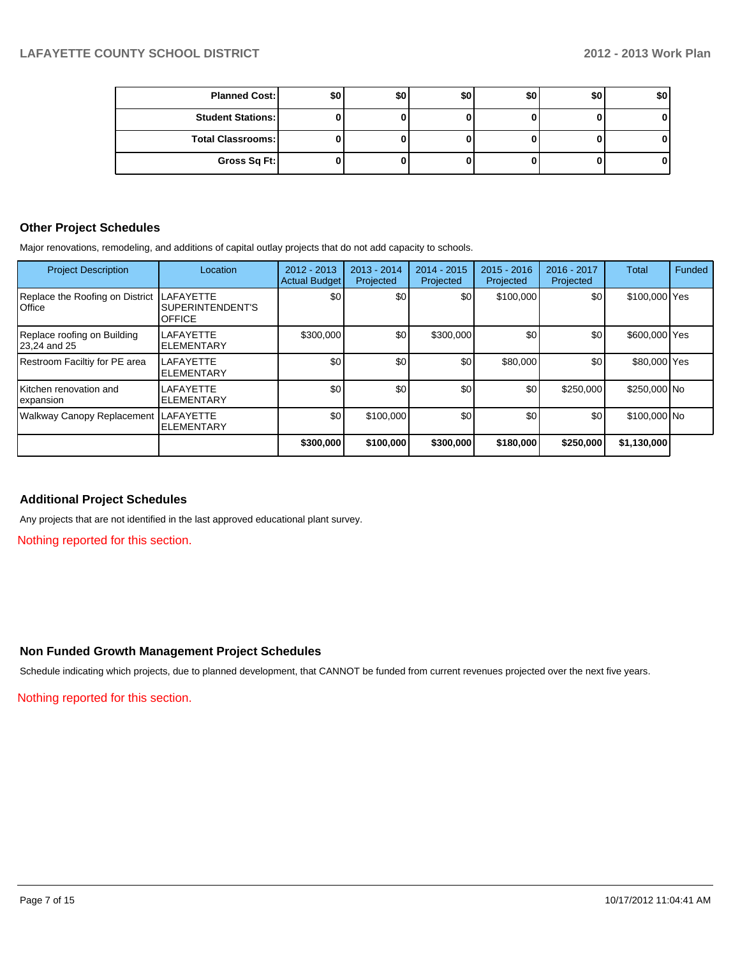| <b>Planned Cost:</b>     | \$0 | \$0 <sub>1</sub> | \$0 | \$0 | \$0 | \$0 |
|--------------------------|-----|------------------|-----|-----|-----|-----|
| <b>Student Stations:</b> |     |                  |     |     |     |     |
| <b>Total Classrooms:</b> |     |                  |     |     |     | o.  |
| Gross Sq Ft:             |     |                  |     |     |     | 01  |

#### **Other Project Schedules**

Major renovations, remodeling, and additions of capital outlay projects that do not add capacity to schools.

| <b>Project Description</b>                         | Location                                              | $2012 - 2013$<br>Actual Budget | $2013 - 2014$<br>Projected | $2014 - 2015$<br>Projected | $2015 - 2016$<br>Projected | 2016 - 2017<br>Projected | <b>Total</b>  | Funded |
|----------------------------------------------------|-------------------------------------------------------|--------------------------------|----------------------------|----------------------------|----------------------------|--------------------------|---------------|--------|
| Replace the Roofing on District<br><b>I</b> Office | <b>LAFAYETTE</b><br>SUPERINTENDENT'S<br><b>OFFICE</b> | \$0                            | \$0 <sub>0</sub>           | \$0                        | \$100,000                  | \$0                      | \$100,000 Yes |        |
| Replace roofing on Building<br>23,24 and 25        | <b>LAFAYETTE</b><br><b>ELEMENTARY</b>                 | \$300,000                      | \$0                        | \$300,000                  | \$0                        | \$0                      | \$600,000 Yes |        |
| Restroom Faciltiy for PE area                      | <b>LAFAYETTE</b><br><b>ELEMENTARY</b>                 | \$0                            | \$0                        | \$0                        | \$80,000                   | \$0                      | \$80,000 Yes  |        |
| Kitchen renovation and<br>lexpansion               | LAFAYETTE<br><b>ELEMENTARY</b>                        | \$0                            | \$0                        | \$0                        | \$0                        | \$250,000                | \$250,000 No  |        |
| Walkway Canopy Replacement LAFAYETTE               | <b>ELEMENTARY</b>                                     | \$0                            | \$100,000                  | \$0                        | \$0                        | \$0                      | \$100,000 No  |        |
|                                                    |                                                       | \$300,000                      | \$100,000                  | \$300,000                  | \$180,000                  | \$250,000                | \$1,130,000   |        |

#### **Additional Project Schedules**

Any projects that are not identified in the last approved educational plant survey.

Nothing reported for this section.

#### **Non Funded Growth Management Project Schedules**

Schedule indicating which projects, due to planned development, that CANNOT be funded from current revenues projected over the next five years.

Nothing reported for this section.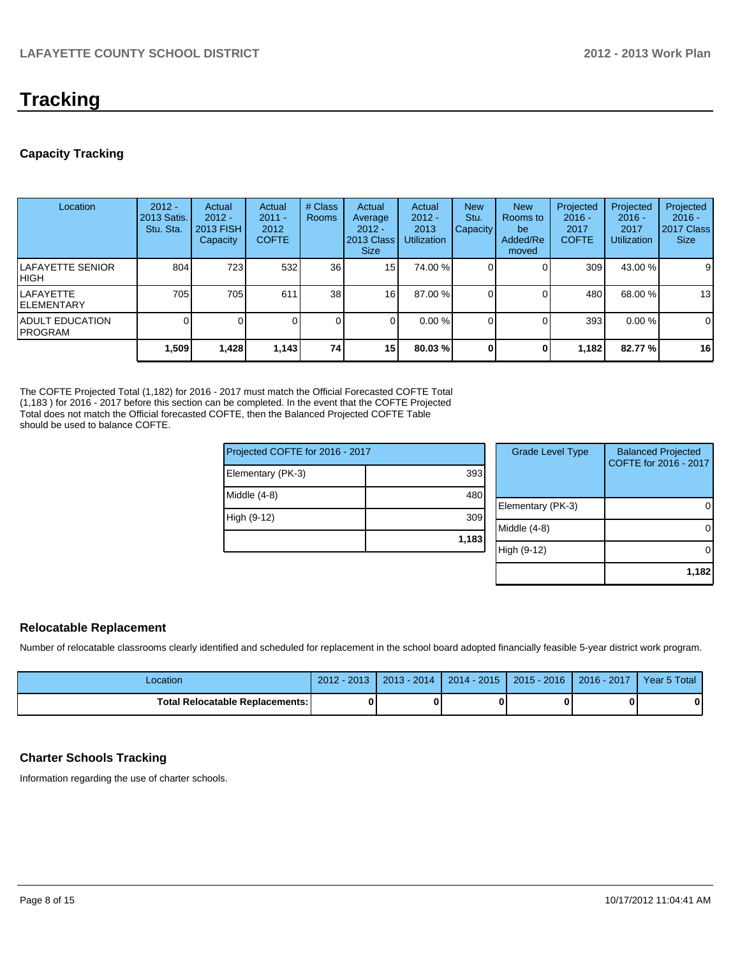# **Tracking**

#### **Capacity Tracking**

| Location                                   | $2012 -$<br>2013 Satis.<br>Stu. Sta. | Actual<br>$2012 -$<br><b>2013 FISH</b><br>Capacity | Actual<br>$2011 -$<br>2012<br><b>COFTE</b> | # Class<br><b>Rooms</b> | Actual<br>Average<br>$2012 -$<br>2013 Class<br><b>Size</b> | Actual<br>$2012 -$<br>2013<br><b>Utilization</b> | <b>New</b><br>Stu.<br><b>Capacity</b> | <b>New</b><br>Rooms to<br>be<br>Added/Re<br>moved | Projected<br>$2016 -$<br>2017<br><b>COFTE</b> | Projected<br>$2016 -$<br>2017<br><b>Utilization</b> | Projected<br>$2016 -$<br>2017 Class<br><b>Size</b> |
|--------------------------------------------|--------------------------------------|----------------------------------------------------|--------------------------------------------|-------------------------|------------------------------------------------------------|--------------------------------------------------|---------------------------------------|---------------------------------------------------|-----------------------------------------------|-----------------------------------------------------|----------------------------------------------------|
| <b>ILAFAYETTE SENIOR</b><br>IHIGH          | 804                                  | 723                                                | 532                                        | 36                      | 15                                                         | 74.00 %                                          |                                       |                                                   | 309                                           | 43.00 %                                             | 9                                                  |
| ILAFAYETTE<br><b>IELEMENTARY</b>           | 705                                  | 705                                                | 611                                        | 38 <sup>l</sup>         | 16 <sup>1</sup>                                            | 87.00 %                                          |                                       |                                                   | 480                                           | 68.00 %                                             | 13                                                 |
| <b>IADULT EDUCATION</b><br><b>IPROGRAM</b> |                                      |                                                    |                                            | 0                       |                                                            | $0.00\%$                                         |                                       |                                                   | 393                                           | $0.00\%$                                            | 0                                                  |
|                                            | 1,509                                | 1,428                                              | 1,143                                      | 74                      | 15 <sup>1</sup>                                            | 80.03%                                           |                                       | 0                                                 | 1,182                                         | 82.77%                                              | 16                                                 |

The COFTE Projected Total (1,182) for 2016 - 2017 must match the Official Forecasted COFTE Total (1,183 ) for 2016 - 2017 before this section can be completed. In the event that the COFTE Projected Total does not match the Official forecasted COFTE, then the Balanced Projected COFTE Table should be used to balance COFTE.

| Projected COFTE for 2016 - 2017 |       | <b>Grade Level Type</b> | <b>Balanced Projected</b><br>COFTE for 2016 - 2017 |
|---------------------------------|-------|-------------------------|----------------------------------------------------|
| Elementary (PK-3)               | 393   |                         |                                                    |
| Middle (4-8)                    | 480   |                         |                                                    |
|                                 |       | Elementary (PK-3)       | 0                                                  |
| High (9-12)                     | 309   |                         |                                                    |
|                                 |       | Middle (4-8)            | $\Omega$                                           |
|                                 | 1,183 |                         |                                                    |
|                                 |       | High (9-12)             | 0                                                  |
|                                 |       |                         |                                                    |
|                                 |       |                         | 1.182                                              |

#### **Relocatable Replacement**

Number of relocatable classrooms clearly identified and scheduled for replacement in the school board adopted financially feasible 5-year district work program.

| Location                          | $2012 - 2013$ | $2013 - 2014$ | 2014 - 2015   2015 - 2016   2016 - 2017 | Year 5 Total |
|-----------------------------------|---------------|---------------|-----------------------------------------|--------------|
| Total Relocatable Replacements: I |               |               |                                         |              |

#### **Charter Schools Tracking**

Information regarding the use of charter schools.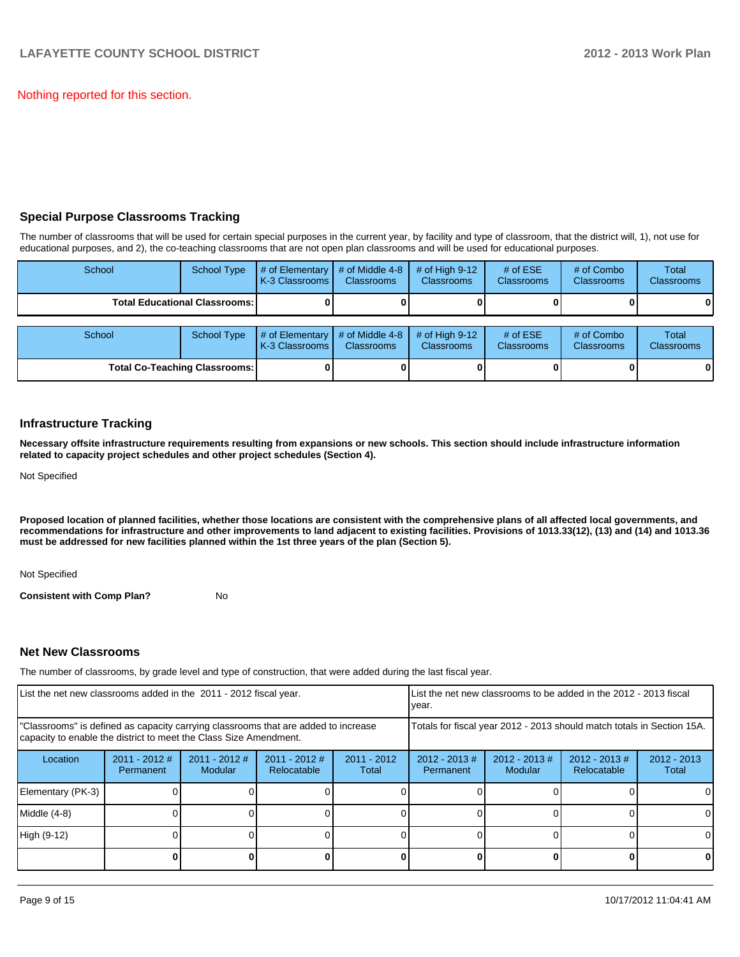Nothing reported for this section.

#### **Special Purpose Classrooms Tracking**

The number of classrooms that will be used for certain special purposes in the current year, by facility and type of classroom, that the district will, 1), not use for educational purposes, and 2), the co-teaching classrooms that are not open plan classrooms and will be used for educational purposes.

| School | <b>School Type</b>                     | # of Elementary<br>K-3 Classrooms | # of Middle 4-8<br><b>Classrooms</b> | # of High $9-12$<br><b>Classrooms</b> | # of $ESE$<br>Classrooms        | # of Combo<br><b>Classrooms</b> | Total<br><b>Classrooms</b> |
|--------|----------------------------------------|-----------------------------------|--------------------------------------|---------------------------------------|---------------------------------|---------------------------------|----------------------------|
|        | <b>Total Educational Classrooms: I</b> |                                   |                                      |                                       |                                 |                                 | 01                         |
| School | <b>School Type</b>                     | # of Elementary<br>K-3 Classrooms | # of Middle 4-8<br><b>Classrooms</b> | # of High $9-12$<br><b>Classrooms</b> | # of $ESE$<br><b>Classrooms</b> | # of Combo<br><b>Classrooms</b> | Total<br><b>Classrooms</b> |
|        | <b>Total Co-Teaching Classrooms:</b>   |                                   |                                      |                                       |                                 |                                 | 01                         |

#### **Infrastructure Tracking**

**Necessary offsite infrastructure requirements resulting from expansions or new schools. This section should include infrastructure information related to capacity project schedules and other project schedules (Section 4).**

Not Specified

**Proposed location of planned facilities, whether those locations are consistent with the comprehensive plans of all affected local governments, and recommendations for infrastructure and other improvements to land adjacent to existing facilities. Provisions of 1013.33(12), (13) and (14) and 1013.36 must be addressed for new facilities planned within the 1st three years of the plan (Section 5).**

Not Specified

**Consistent with Comp Plan?** No

#### **Net New Classrooms**

The number of classrooms, by grade level and type of construction, that were added during the last fiscal year.

| List the net new classrooms added in the 2011 - 2012 fiscal year.                                                                                       |                              |                          |                                |                        | List the net new classrooms to be added in the 2012 - 2013 fiscal<br>Ivear. |                             |                                 |                        |  |  |
|---------------------------------------------------------------------------------------------------------------------------------------------------------|------------------------------|--------------------------|--------------------------------|------------------------|-----------------------------------------------------------------------------|-----------------------------|---------------------------------|------------------------|--|--|
| "Classrooms" is defined as capacity carrying classrooms that are added to increase<br>capacity to enable the district to meet the Class Size Amendment. |                              |                          |                                |                        | Totals for fiscal year 2012 - 2013 should match totals in Section 15A.      |                             |                                 |                        |  |  |
| Location                                                                                                                                                | $2011 - 2012$ #<br>Permanent | 2011 - 2012 #<br>Modular | $2011 - 2012$ #<br>Relocatable | $2011 - 2012$<br>Total | $2012 - 2013$ #<br>Permanent                                                | $2012 - 2013 \#$<br>Modular | $2012 - 2013 \#$<br>Relocatable | $2012 - 2013$<br>Total |  |  |
| Elementary (PK-3)                                                                                                                                       |                              |                          |                                |                        |                                                                             |                             |                                 | $\Omega$               |  |  |
| Middle (4-8)                                                                                                                                            |                              |                          |                                |                        |                                                                             |                             |                                 | $\Omega$               |  |  |
| High (9-12)                                                                                                                                             |                              |                          |                                |                        |                                                                             |                             |                                 | 0                      |  |  |
|                                                                                                                                                         |                              |                          |                                |                        |                                                                             |                             |                                 | 0                      |  |  |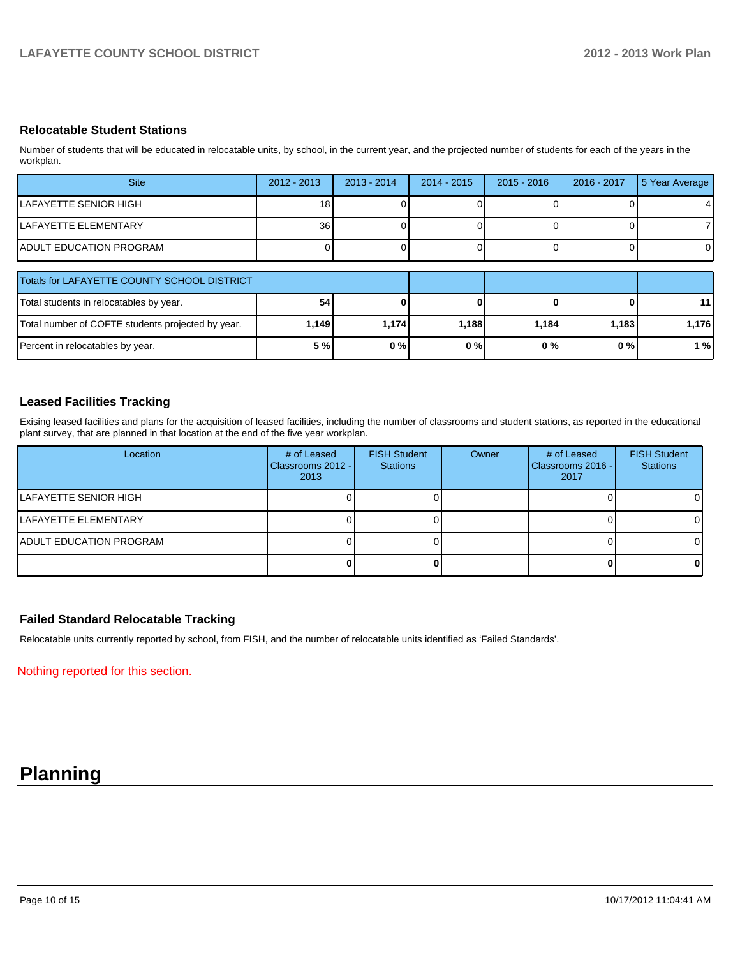#### **Relocatable Student Stations**

Number of students that will be educated in relocatable units, by school, in the current year, and the projected number of students for each of the years in the workplan.

| <b>Site</b>                                       | $2012 - 2013$   | $2013 - 2014$ | $2014 - 2015$ | $2015 - 2016$ | 2016 - 2017 | 5 Year Average  |
|---------------------------------------------------|-----------------|---------------|---------------|---------------|-------------|-----------------|
| LAFAYETTE SENIOR HIGH                             | 181             |               |               |               |             | 4               |
| LAFAYETTE ELEMENTARY                              | 36 <sup>1</sup> |               |               |               |             |                 |
| <b>ADULT EDUCATION PROGRAM</b>                    |                 |               |               |               |             |                 |
| Totals for LAFAYETTE COUNTY SCHOOL DISTRICT       |                 |               |               |               |             |                 |
| Total students in relocatables by year.           | 54              |               |               |               |             | 11 <sup>1</sup> |
| Total number of COFTE students projected by year. | 1,149           | 1,174         | 1,188         | 1,184         | 1,183       | 1,176           |

Percent in relocatables by year. **5 % 0 % 0 % 0 % 0 % 1 %**

#### **Leased Facilities Tracking**

Exising leased facilities and plans for the acquisition of leased facilities, including the number of classrooms and student stations, as reported in the educational plant survey, that are planned in that location at the end of the five year workplan.

| Location                        | # of Leased<br>Classrooms 2012 - I<br>2013 | <b>FISH Student</b><br><b>Stations</b> | Owner | # of Leased<br>Classrooms 2016 - I<br>2017 | <b>FISH Student</b><br><b>Stations</b> |
|---------------------------------|--------------------------------------------|----------------------------------------|-------|--------------------------------------------|----------------------------------------|
| ILAFAYETTE SENIOR HIGH          |                                            |                                        |       |                                            | ΟI                                     |
| LAFAYETTE ELEMENTARY            |                                            |                                        |       |                                            | ΩI                                     |
| <b>IADULT EDUCATION PROGRAM</b> |                                            |                                        |       |                                            | ΟI                                     |
|                                 |                                            |                                        |       |                                            | 0 I                                    |

#### **Failed Standard Relocatable Tracking**

Relocatable units currently reported by school, from FISH, and the number of relocatable units identified as 'Failed Standards'.

Nothing reported for this section.

# **Planning**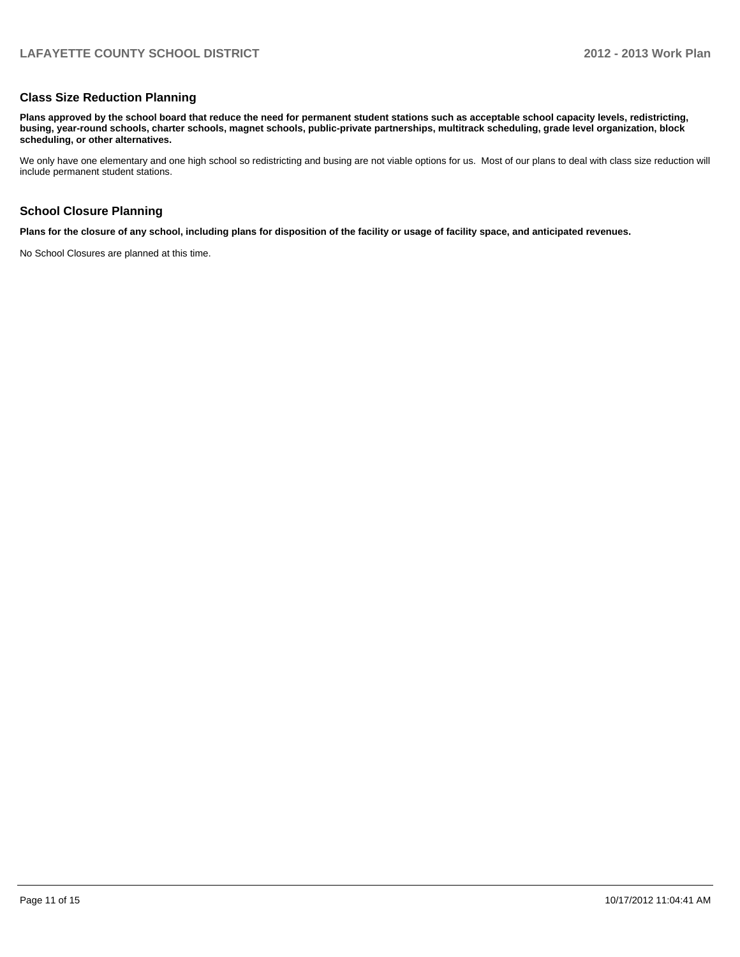#### **Class Size Reduction Planning**

**Plans approved by the school board that reduce the need for permanent student stations such as acceptable school capacity levels, redistricting, busing, year-round schools, charter schools, magnet schools, public-private partnerships, multitrack scheduling, grade level organization, block scheduling, or other alternatives.**

We only have one elementary and one high school so redistricting and busing are not viable options for us. Most of our plans to deal with class size reduction will include permanent student stations.

#### **School Closure Planning**

**Plans for the closure of any school, including plans for disposition of the facility or usage of facility space, and anticipated revenues.**

No School Closures are planned at this time.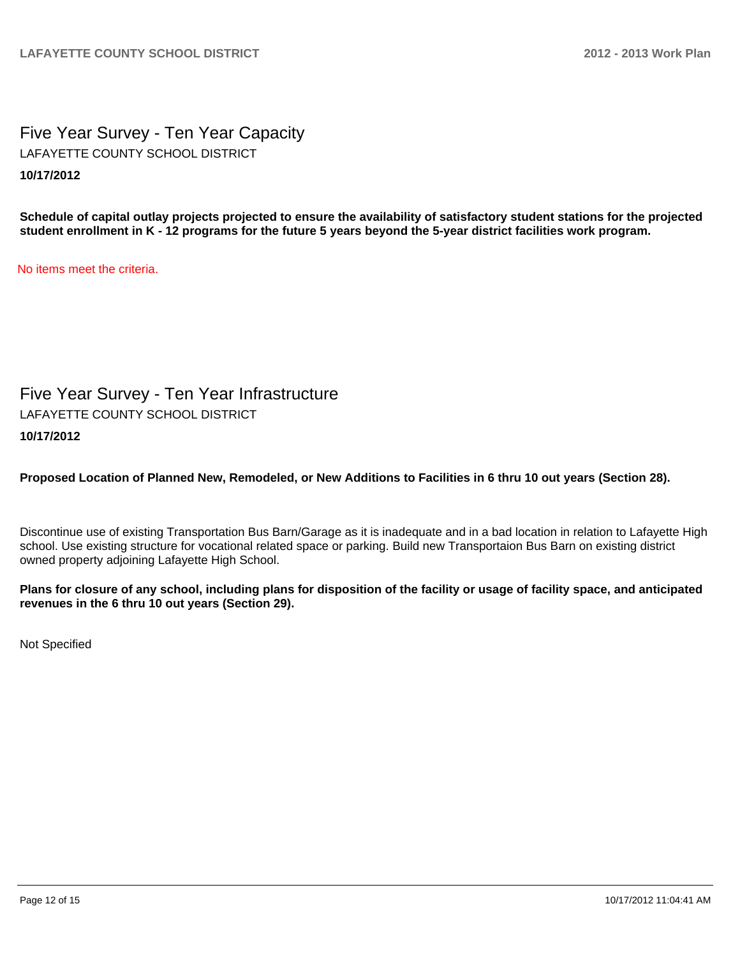Five Year Survey - Ten Year Capacity **10/17/2012** LAFAYETTE COUNTY SCHOOL DISTRICT

**Schedule of capital outlay projects projected to ensure the availability of satisfactory student stations for the projected student enrollment in K - 12 programs for the future 5 years beyond the 5-year district facilities work program.**

No items meet the criteria.

Five Year Survey - Ten Year Infrastructure **10/17/2012** LAFAYETTE COUNTY SCHOOL DISTRICT

## **Proposed Location of Planned New, Remodeled, or New Additions to Facilities in 6 thru 10 out years (Section 28).**

Discontinue use of existing Transportation Bus Barn/Garage as it is inadequate and in a bad location in relation to Lafayette High school. Use existing structure for vocational related space or parking. Build new Transportaion Bus Barn on existing district owned property adjoining Lafayette High School.

**Plans for closure of any school, including plans for disposition of the facility or usage of facility space, and anticipated revenues in the 6 thru 10 out years (Section 29).**

Not Specified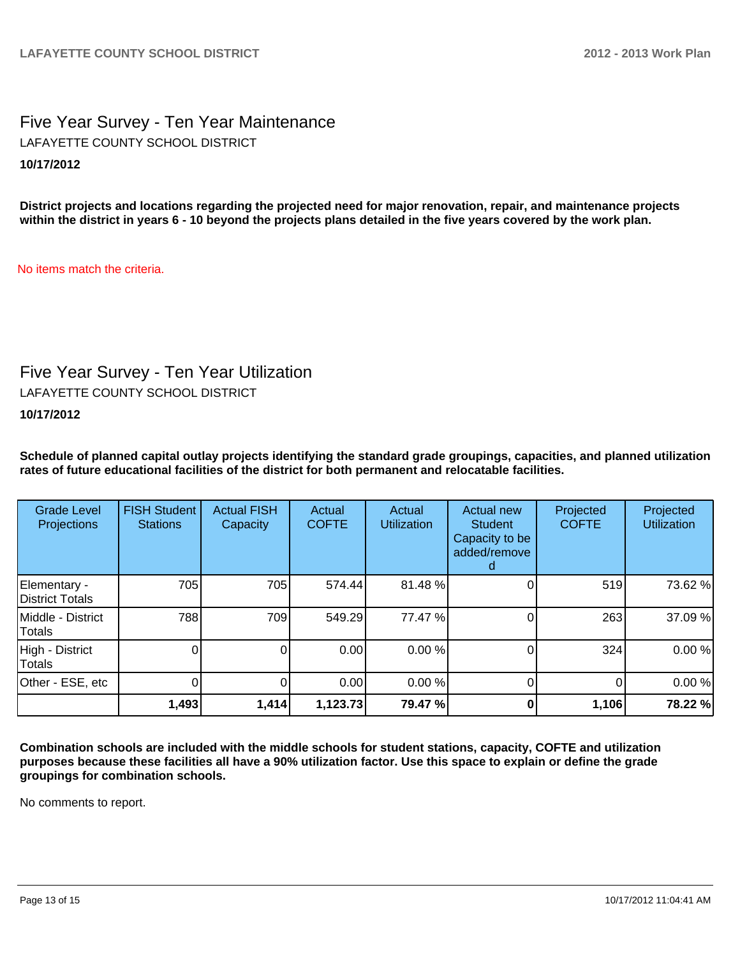Five Year Survey - Ten Year Maintenance **10/17/2012** LAFAYETTE COUNTY SCHOOL DISTRICT

**District projects and locations regarding the projected need for major renovation, repair, and maintenance projects within the district in years 6 - 10 beyond the projects plans detailed in the five years covered by the work plan.**

No items match the criteria.

## Five Year Survey - Ten Year Utilization

LAFAYETTE COUNTY SCHOOL DISTRICT

#### **10/17/2012**

**Schedule of planned capital outlay projects identifying the standard grade groupings, capacities, and planned utilization rates of future educational facilities of the district for both permanent and relocatable facilities.**

| <b>Grade Level</b><br>Projections | <b>FISH Student</b><br><b>Stations</b> | <b>Actual FISH</b><br>Capacity | Actual<br><b>COFTE</b> | Actual<br><b>Utilization</b> | Actual new<br><b>Student</b><br>Capacity to be<br>added/remove | Projected<br><b>COFTE</b> | Projected<br><b>Utilization</b> |
|-----------------------------------|----------------------------------------|--------------------------------|------------------------|------------------------------|----------------------------------------------------------------|---------------------------|---------------------------------|
| Elementary -<br>District Totals   | 705                                    | 705                            | 574.44                 | 81.48%                       |                                                                | 519                       | 73.62 %                         |
| Middle - District<br>Totals       | 788                                    | 709                            | 549.29                 | 77.47 %                      |                                                                | 263                       | 37.09%                          |
| High - District<br>Totals         |                                        | 0                              | 0.00                   | 0.00%                        |                                                                | 324                       | 0.00%                           |
| Other - ESE, etc                  |                                        | 0                              | 0.00                   | 0.00%                        |                                                                |                           | 0.00%                           |
|                                   | 1,493                                  | 1,414                          | 1,123.73               | 79.47 %                      |                                                                | 1,106                     | 78.22 %                         |

**Combination schools are included with the middle schools for student stations, capacity, COFTE and utilization purposes because these facilities all have a 90% utilization factor. Use this space to explain or define the grade groupings for combination schools.**

No comments to report.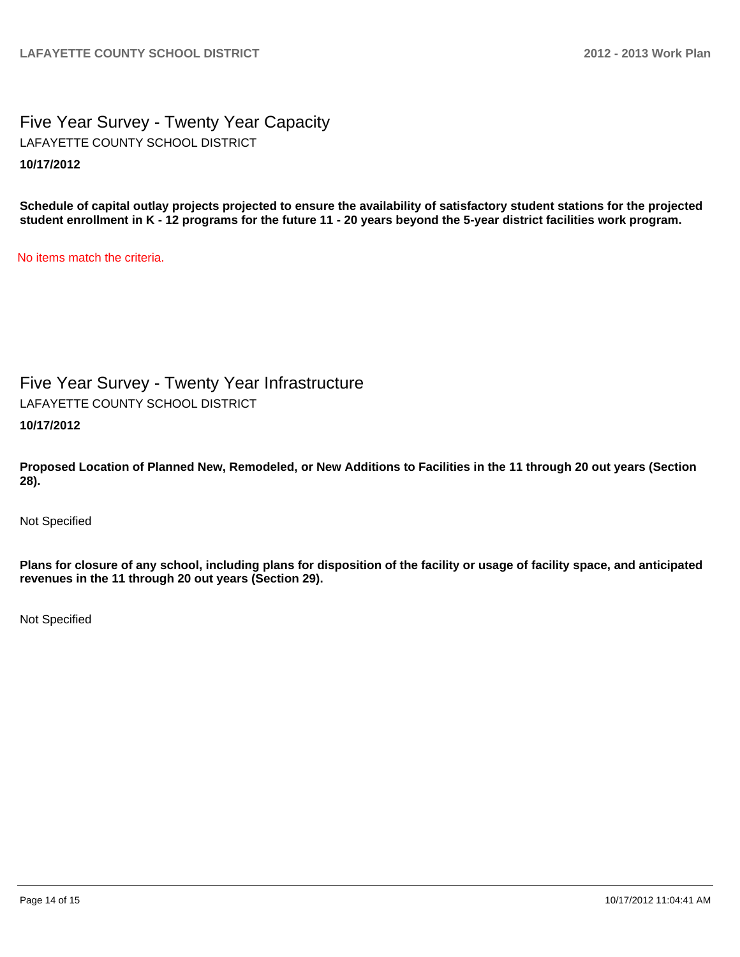Five Year Survey - Twenty Year Capacity **10/17/2012** LAFAYETTE COUNTY SCHOOL DISTRICT

**Schedule of capital outlay projects projected to ensure the availability of satisfactory student stations for the projected student enrollment in K - 12 programs for the future 11 - 20 years beyond the 5-year district facilities work program.**

No items match the criteria.

Five Year Survey - Twenty Year Infrastructure **10/17/2012** LAFAYETTE COUNTY SCHOOL DISTRICT

**Proposed Location of Planned New, Remodeled, or New Additions to Facilities in the 11 through 20 out years (Section 28).**

Not Specified

**Plans for closure of any school, including plans for disposition of the facility or usage of facility space, and anticipated revenues in the 11 through 20 out years (Section 29).**

Not Specified